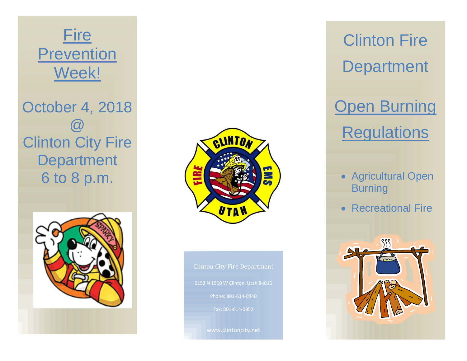## **Fire Prevention** Week!

October 4, 2018 @ Clinton City Fire **Department** 6 to 8 p.m.





2153 N 1500 W Clinton, Utah 84015 Phone: 801-614-0840 Fax: 801-614-0852

www.clintoncity.net

Clinton Fire **Department** 

**Open Burning Regulations** 

- Agricultural Open **Burning**
- Recreational Fire